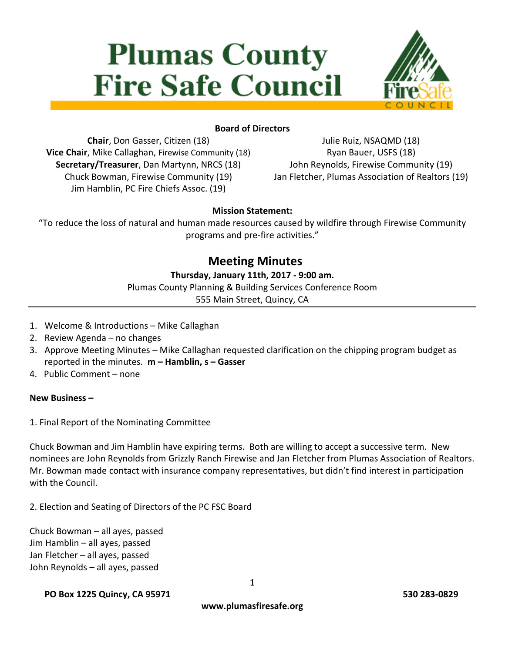# **Plumas County Fire Safe Council**



# **Board of Directors**

**Chair**, Don Gasser, Citizen (18) **Vice Chair**, Mike Callaghan, Firewise Community (18) **Secretary/Treasurer**, Dan Martynn, NRCS (18) Chuck Bowman, Firewise Community (19) Jim Hamblin, PC Fire Chiefs Assoc. (19)

Julie Ruiz, NSAQMD (18) Ryan Bauer, USFS (18) John Reynolds, Firewise Community (19) Jan Fletcher, Plumas Association of Realtors (19)

#### **Mission Statement:**

"To reduce the loss of natural and human made resources caused by wildfire through Firewise Community programs and pre-fire activities."

# **Meeting Minutes**

## **Thursday, January 11th, 2017 - 9:00 am.**

Plumas County Planning & Building Services Conference Room

555 Main Street, Quincy, CA

- 1. Welcome & Introductions Mike Callaghan
- 2. Review Agenda no changes
- 3. Approve Meeting Minutes Mike Callaghan requested clarification on the chipping program budget as reported in the minutes. **m – Hamblin, s – Gasser**
- 4. Public Comment none

#### **New Business –**

1. Final Report of the Nominating Committee

Chuck Bowman and Jim Hamblin have expiring terms. Both are willing to accept a successive term. New nominees are John Reynolds from Grizzly Ranch Firewise and Jan Fletcher from Plumas Association of Realtors. Mr. Bowman made contact with insurance company representatives, but didn't find interest in participation with the Council.

2. Election and Seating of Directors of the PC FSC Board

Chuck Bowman – all ayes, passed Jim Hamblin – all ayes, passed Jan Fletcher – all ayes, passed John Reynolds – all ayes, passed

#### **PO Box 1225 Quincy, CA 95971 530 283-0829**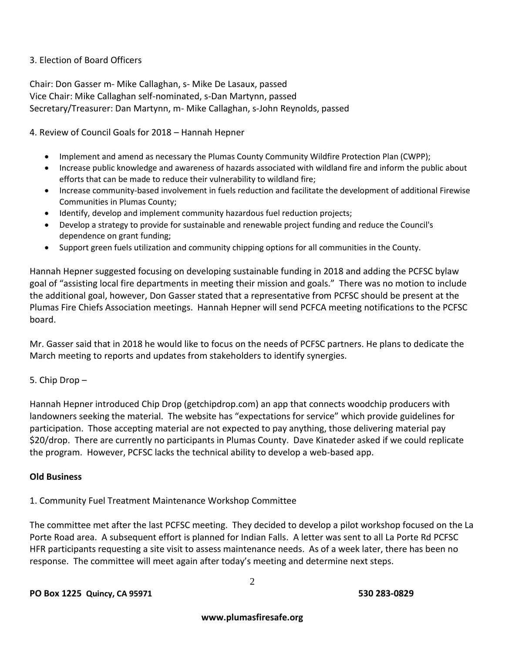#### 3. Election of Board Officers

Chair: Don Gasser m- Mike Callaghan, s- Mike De Lasaux, passed Vice Chair: Mike Callaghan self-nominated, s-Dan Martynn, passed Secretary/Treasurer: Dan Martynn, m- Mike Callaghan, s-John Reynolds, passed

4. Review of Council Goals for 2018 – Hannah Hepner

- Implement and amend as necessary the Plumas County Community Wildfire Protection Plan (CWPP);
- Increase public knowledge and awareness of hazards associated with wildland fire and inform the public about efforts that can be made to reduce their vulnerability to wildland fire;
- Increase community-based involvement in fuels reduction and facilitate the development of additional Firewise Communities in Plumas County;
- Identify, develop and implement community hazardous fuel reduction projects;
- Develop a strategy to provide for sustainable and renewable project funding and reduce the Council's dependence on grant funding;
- Support green fuels utilization and community chipping options for all communities in the County.

Hannah Hepner suggested focusing on developing sustainable funding in 2018 and adding the PCFSC bylaw goal of "assisting local fire departments in meeting their mission and goals." There was no motion to include the additional goal, however, Don Gasser stated that a representative from PCFSC should be present at the Plumas Fire Chiefs Association meetings. Hannah Hepner will send PCFCA meeting notifications to the PCFSC board.

Mr. Gasser said that in 2018 he would like to focus on the needs of PCFSC partners. He plans to dedicate the March meeting to reports and updates from stakeholders to identify synergies.

#### 5. Chip Drop –

Hannah Hepner introduced Chip Drop (getchipdrop.com) an app that connects woodchip producers with landowners seeking the material. The website has "expectations for service" which provide guidelines for participation. Those accepting material are not expected to pay anything, those delivering material pay \$20/drop. There are currently no participants in Plumas County. Dave Kinateder asked if we could replicate the program. However, PCFSC lacks the technical ability to develop a web-based app.

#### **Old Business**

1. Community Fuel Treatment Maintenance Workshop Committee

The committee met after the last PCFSC meeting. They decided to develop a pilot workshop focused on the La Porte Road area. A subsequent effort is planned for Indian Falls. A letter was sent to all La Porte Rd PCFSC HFR participants requesting a site visit to assess maintenance needs. As of a week later, there has been no response. The committee will meet again after today's meeting and determine next steps.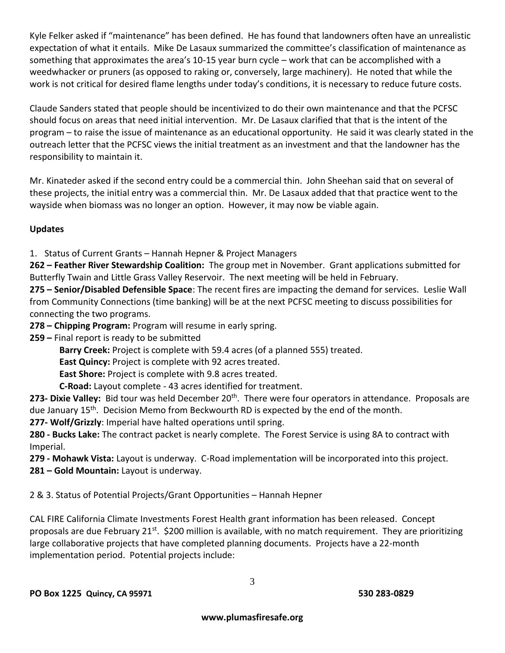Kyle Felker asked if "maintenance" has been defined. He has found that landowners often have an unrealistic expectation of what it entails. Mike De Lasaux summarized the committee's classification of maintenance as something that approximates the area's 10-15 year burn cycle – work that can be accomplished with a weedwhacker or pruners (as opposed to raking or, conversely, large machinery). He noted that while the work is not critical for desired flame lengths under today's conditions, it is necessary to reduce future costs.

Claude Sanders stated that people should be incentivized to do their own maintenance and that the PCFSC should focus on areas that need initial intervention. Mr. De Lasaux clarified that that is the intent of the program – to raise the issue of maintenance as an educational opportunity. He said it was clearly stated in the outreach letter that the PCFSC views the initial treatment as an investment and that the landowner has the responsibility to maintain it.

Mr. Kinateder asked if the second entry could be a commercial thin. John Sheehan said that on several of these projects, the initial entry was a commercial thin. Mr. De Lasaux added that that practice went to the wayside when biomass was no longer an option. However, it may now be viable again.

# **Updates**

1. Status of Current Grants – Hannah Hepner & Project Managers

**262 – Feather River Stewardship Coalition:** The group met in November. Grant applications submitted for Butterfly Twain and Little Grass Valley Reservoir. The next meeting will be held in February.

**275 – Senior/Disabled Defensible Space**: The recent fires are impacting the demand for services. Leslie Wall from Community Connections (time banking) will be at the next PCFSC meeting to discuss possibilities for connecting the two programs.

**278 – Chipping Program:** Program will resume in early spring.

**259 –** Final report is ready to be submitted

**Barry Creek:** Project is complete with 59.4 acres (of a planned 555) treated.

**East Quincy:** Project is complete with 92 acres treated.

**East Shore:** Project is complete with 9.8 acres treated.

**C-Road:** Layout complete - 43 acres identified for treatment.

273- Dixie Valley: Bid tour was held December 20<sup>th</sup>. There were four operators in attendance. Proposals are due January 15<sup>th</sup>. Decision Memo from Beckwourth RD is expected by the end of the month.

**277- Wolf/Grizzly**: Imperial have halted operations until spring.

**280 - Bucks Lake:** The contract packet is nearly complete. The Forest Service is using 8A to contract with Imperial.

**279 - Mohawk Vista:** Layout is underway. C-Road implementation will be incorporated into this project.

**281 – Gold Mountain:** Layout is underway.

2 & 3. Status of Potential Projects/Grant Opportunities – Hannah Hepner

CAL FIRE California Climate Investments Forest Health grant information has been released. Concept proposals are due February 21<sup>st</sup>. \$200 million is available, with no match requirement. They are prioritizing large collaborative projects that have completed planning documents. Projects have a 22-month implementation period. Potential projects include: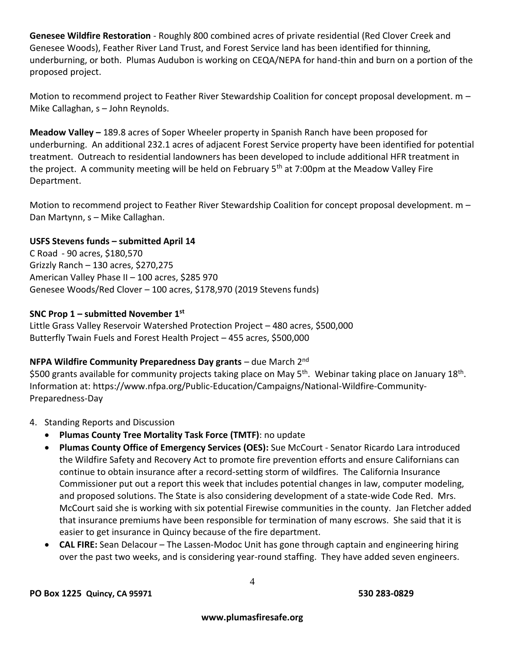**Genesee Wildfire Restoration** - Roughly 800 combined acres of private residential (Red Clover Creek and Genesee Woods), Feather River Land Trust, and Forest Service land has been identified for thinning, underburning, or both. Plumas Audubon is working on CEQA/NEPA for hand-thin and burn on a portion of the proposed project.

Motion to recommend project to Feather River Stewardship Coalition for concept proposal development. m -Mike Callaghan, s – John Reynolds.

**Meadow Valley –** 189.8 acres of Soper Wheeler property in Spanish Ranch have been proposed for underburning. An additional 232.1 acres of adjacent Forest Service property have been identified for potential treatment. Outreach to residential landowners has been developed to include additional HFR treatment in the project. A community meeting will be held on February 5<sup>th</sup> at 7:00pm at the Meadow Valley Fire Department.

Motion to recommend project to Feather River Stewardship Coalition for concept proposal development. m – Dan Martynn, s – Mike Callaghan.

## **USFS Stevens funds – submitted April 14**

C Road - 90 acres, \$180,570 Grizzly Ranch – 130 acres, \$270,275 American Valley Phase II – 100 acres, \$285 970 Genesee Woods/Red Clover – 100 acres, \$178,970 (2019 Stevens funds)

#### **SNC Prop 1 – submitted November 1 st**

Little Grass Valley Reservoir Watershed Protection Project – 480 acres, \$500,000 Butterfly Twain Fuels and Forest Health Project – 455 acres, \$500,000

#### **NFPA Wildfire Community Preparedness Day grants** – due March 2nd

\$500 grants available for community projects taking place on May 5<sup>th</sup>. Webinar taking place on January 18<sup>th</sup>. Information at: https://www.nfpa.org/Public-Education/Campaigns/National-Wildfire-Community-Preparedness-Day

- 4. Standing Reports and Discussion
	- **Plumas County Tree Mortality Task Force (TMTF)**: no update
	- **Plumas County Office of Emergency Services (OES):** Sue McCourt Senator Ricardo Lara introduced the Wildfire Safety and Recovery Act to promote fire prevention efforts and ensure Californians can continue to obtain insurance after a record-setting storm of wildfires. The California Insurance Commissioner put out a report this week that includes potential changes in law, computer modeling, and proposed solutions. The State is also considering development of a state-wide Code Red. Mrs. McCourt said she is working with six potential Firewise communities in the county. Jan Fletcher added that insurance premiums have been responsible for termination of many escrows. She said that it is easier to get insurance in Quincy because of the fire department.
	- **CAL FIRE:** Sean Delacour The Lassen-Modoc Unit has gone through captain and engineering hiring over the past two weeks, and is considering year-round staffing. They have added seven engineers.